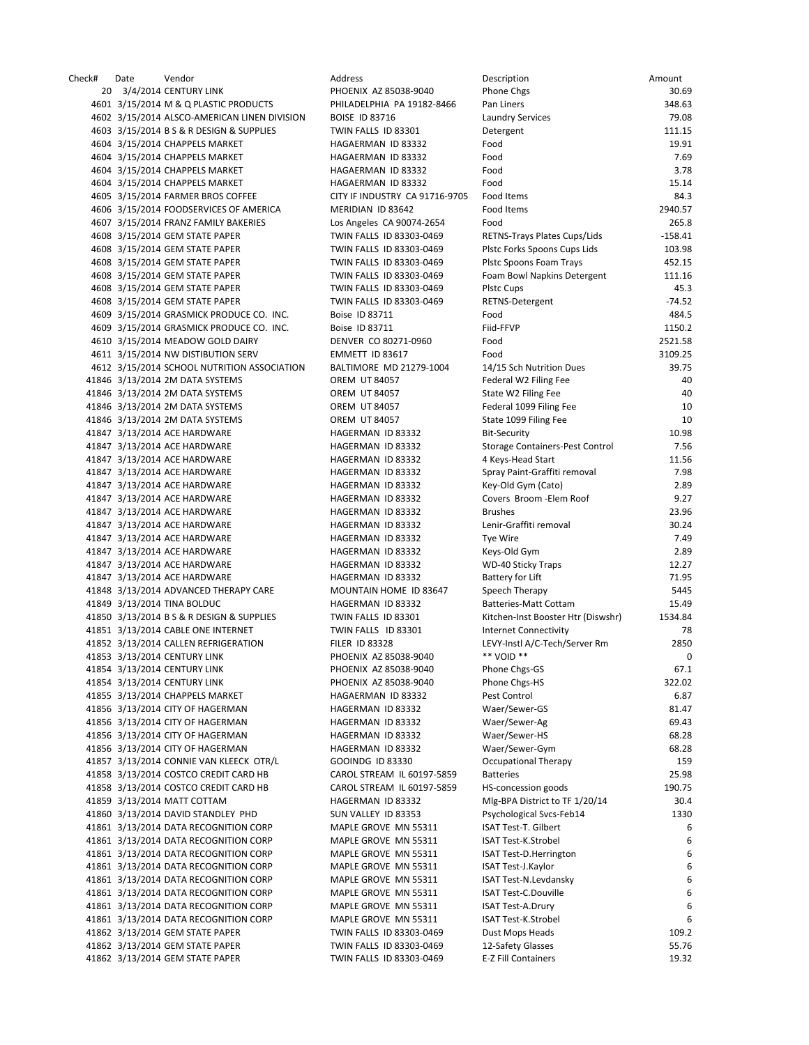Check# Date Vendor Address Description Amount 20 3/4/2014 CENTURY LINK PHOENIX AZ 85038-9040 P 4601 3/15/2014 M & Q PLASTIC PRODUCTS PHILADELPHIA PA 19182-8466 P 4602 3/15/2014 ALSCO-AMERICAN LINEN DIVISION BOISE ID 83716 LAUNDRY SERVICES 7 4603 3/15/2014 B S & R DESIGN & SUPPLIES TWIN FALLS ID 83301 DETERMINATION 4604 3/15/2014 CHAPPELS MARKET HAGAERMAN ID 83332 4604 3/15/2014 CHAPPELS MARKET HAGAERMAN ID 83332 F 4604 3/15/2014 CHAPPELS MARKET **HAGAERMAN ID 83332** F 4604 3/15/2014 CHAPPELS MARKET **HAGAERMAN ID 83332** F 4605 3/15/2014 FARMER BROS COFFEE CITY IF INDUSTRY CA 91716-9705 F 4606 3/15/2014 FOODSERVICES OF AMERICA MERIDIAN ID 83642 4607 3/15/2014 FRANZ FAMILY BAKERIES Los Angeles CA 90074‐2654 Food 265.8 4608 3/15/2014 GEM STATE PAPER TWIN FALLS ID 83303-0469 F 4608 3/15/2014 GEM STATE PAPER TWIN FALLS ID 83303-0469 PLSTC FOR SPOONS CHILDS 10 4608 3/15/2014 GEM STATE PAPER TWIN FALLS ID 83303-0469 4608 3/15/2014 GEM STATE PAPER TWIN FALLS ID 83303-0469 F 4608 3/15/2014 GEM STATE PAPER TWIN FALLS ID 83303-0469 4608 3/15/2014 GEM STATE PAPER TWIN FALLS ID 83303-0469 RET 4609 3/15/2014 GRASMICK PRODUCE CO. INC. Boise ID 83711 FOR 1999 4609 3/15/2014 GRASMICK PRODUCE CO. INC. Boise ID 83711 FIGURE 4610 3/15/2014 MEADOW GOLD DAIRY DENVER CO 80271-0960 F 4611 3/15/2014 NW DISTIBUTION SERV EMMETT ID 83617 4612 3/15/2014 SCHOOL NUTRITION ASSOCIATION BALTIMORE MD 21279-1004 1 41846 3/13/2014 2M DATA SYSTEMS OREM UT 84057 FEDERAL WALLEN FEE 40 FEMALE RESIDENCE. 41846 3/13/2014 2M DATA SYSTEMS OREM UT 84057 S 41846 3/13/2014 2M DATA SYSTEMS OREM UT 84057 FEDERAL 1099 FE 41846 3/13/2014 2M DATA SYSTEMS **OREM UT 84057** S 41847 3/13/2014 ACE HARDWARE HAGERMAN ID 83332 B 41847 3/13/2014 ACE HARDWARE HAGERMAN ID 83332 S 41847 3/13/2014 ACE HARDWARE HAGERMAN ID 83332 4 41847 3/13/2014 ACE HARDWARE HAGERMAN ID 83332 Spray Painter 41847 3/13/2014 ACE HARDWARE HAGERMAN ID 83332 41847 3/13/2014 ACE HARDWARE 
HAGERMAN ID 83332

C 41847 3/13/2014 ACE HARDWARE HAGERMAN ID 83332 41847 3/13/2014 ACE HARDWARE HAGERMAN ID 83332 LENIR 1 41847 3/13/2014 ACE HARDWARE **HAGERMAN ID 83332** T 41847 3/13/2014 ACE HARDWARE HAGERMAN ID 83332 41847 3/13/2014 ACE HARDWARE HAGERMAN ID 83332 41847 3/13/2014 ACE HARDWARE **HAGERMAN ID 83332** B 41848 3/13/2014 ADVANCED THERAPY CARE MOUNTAIN HOME ID 83647 S 41849 3/13/2014 TINA BOLDUC BATTER HAGERMAN ID 83332 BATTERIES 41850 3/13/2014 B S & R DESIGN & SUPPLIES TWIN FALLS ID 83301 K 41851 3/13/2014 CABLE ONE INTERNET TWIN FALLS ID 83301 41852 3/13/2014 CALLEN REFRIGERATION FILER ID 83328 LEVEL 41853 3/13/2014 CENTURY LINK PHOENIX AZ 85038-9040 41854 3/13/2014 CENTURY LINK **PHOENIX AZ 85038-9040** P 41854 3/13/2014 CENTURY LINK PHOENIX AZ 85038-9040 F 41855 3/13/2014 CHAPPELS MARKET 
HAGAERMAN ID 83332 41856 3/13/2014 CITY OF HAGERMAN 
NAGERMAN ID 83332 41856 3/13/2014 CITY OF HAGERMAN HAGERMAN ID 83332 41856 3/13/2014 CITY OF HAGERMAN MAGERMAN HAGERMAN ID 83332 41856 3/13/2014 CITY OF HAGERMAN MAGERMAN HAGERMAN ID 83332 41857 3/13/2014 CONNIE VAN KLEECK OTR/L GOOINDG ID 83330 C 41858 3/13/2014 COSTCO CREDIT CARD HB CAROL STREAM IL 60197-5859 B 41858 3/13/2014 COSTCO CREDIT CARD HB CAROL STREAM IL 60197-5859 H 41859 3/13/2014 MATT COTTAM HAGERMAN ID 83332 41860 3/13/2014 DAVID STANDLEY PHD SUN VALLEY ID 83353 41861 3/13/2014 DATA RECOGNITION CORP MAPLE GROVE MN 55311 41861 3/13/2014 DATA RECOGNITION CORP MAPLE GROVE MN 55311 ISLAMIC TEST 41861 3/13/2014 DATA RECOGNITION CORP MAPLE GROVE MN 55311 41861 3/13/2014 DATA RECOGNITION CORP MAPLE GROVE MN 55311 41861 3/13/2014 DATA RECOGNITION CORP MAPLE GROVE MN 55311 41861 3/13/2014 DATA RECOGNITION CORP MAPLE GROVE MN 55311 41861 3/13/2014 DATA RECOGNITION CORP MAPLE GROVE MN 55311 41861 3/13/2014 DATA RECOGNITION CORP MAPLE GROVE MN 55311 ISL 41862 3/13/2014 GEM STATE PAPER TWIN FALLS ID 83303-0469 D 41862 3/13/2014 GEM STATE PAPER TWIN FALLS ID 83303-0469 1 41862 3/13/2014 GEM STATE PAPER TWIN FALLS ID 83303-0469 E

| )escription                        | Amount    |
|------------------------------------|-----------|
| hone Chgs                          | 30.69     |
| an Liners                          | 348.63    |
| aundry Services                    | 79.08     |
| <b>Detergent</b>                   | 111.15    |
| ood                                | 19.91     |
| ood                                | 7.69      |
| ood                                | 3.78      |
| ood                                | 15.14     |
| ood Items                          | 84.3      |
| ood Items                          | 2940.57   |
| ood                                | 265.8     |
| RETNS-Trays Plates Cups/Lids       | $-158.41$ |
| Istc Forks Spoons Cups Lids        | 103.98    |
| Istc Spoons Foam Trays             | 452.15    |
| oam Bowl Napkins Detergent         | 111.16    |
| Istc Cups                          | 45.3      |
| RETNS-Detergent                    | $-74.52$  |
| ood                                | 484.5     |
| iid-FFVP                           | 1150.2    |
| ood                                | 2521.58   |
| ood                                | 3109.25   |
| 4/15 Sch Nutrition Dues            | 39.75     |
| ederal W2 Filing Fee               | 40        |
| itate W2 Filing Fee                | 40        |
| ederal 1099 Filing Fee             | 10        |
| itate 1099 Filing Fee              | 10        |
| Bit-Security                       | 10.98     |
|                                    | 7.56      |
| itorage Containers-Pest Control    |           |
| Keys-Head Start                    | 11.56     |
| ipray Paint-Graffiti removal       | 7.98      |
| (ey-Old Gym (Cato)                 | 2.89      |
| Covers Broom - Elem Roof           | 9.27      |
| 3rushes                            | 23.96     |
| enir-Graffiti removal.             | 30.24     |
| ye Wire                            | 7.49      |
| eys-Old Gym                        | 2.89      |
| <b>ND-40 Sticky Traps</b>          | 12.27     |
| Battery for Lift                   | 71.95     |
| peech Therapy                      | 5445      |
| Batteries-Matt Cottam              | 15.49     |
| (itchen-Inst Booster Htr (Diswshr) | 1534.84   |
| nternet Connectivity               | 78        |
| EVY-Instl A/C-Tech/Server Rm       | 2850      |
| ** VOID **                         | 0         |
| hone Chgs-GS <sup>,</sup>          | 67.1      |
| hone Chgs-HS                       | 322.02    |
| est Control                        | 6.87      |
| Vaer/Sewer-GS                      | 81.47     |
| Vaer/Sewer-Ag                      | 69.43     |
| Vaer/Sewer-HS                      | 68.28     |
| Vaer/Sewer-Gym                     | 68.28     |
| <b>Dccupational Therapy</b>        | 159       |
| atteries                           | 25.98     |
| IS-concession goods                | 190.75    |
| Alg-BPA District to TF 1/20/14     | 30.4      |
| 'sychological Svcs-Feb14           | 1330      |
| SAT Test-T. Gilbert                | 6         |
| SAT Test-K.Strobel                 | 6         |
| SAT Test-D.Herrington              | 6         |
| SAT Test-J.Kaylor                  | 6         |
| SAT Test-N.Levdansky               | 6         |
| SAT Test-C.Douville                | 6         |
| SAT Test-A.Drury                   | 6         |
| SAT Test-K.Strobel                 | 6         |
| Oust Mops Heads                    | 109.2     |
| 2-Safety Glasses                   | 55.76     |
| -Z Fill Containers                 | 19.32     |
|                                    |           |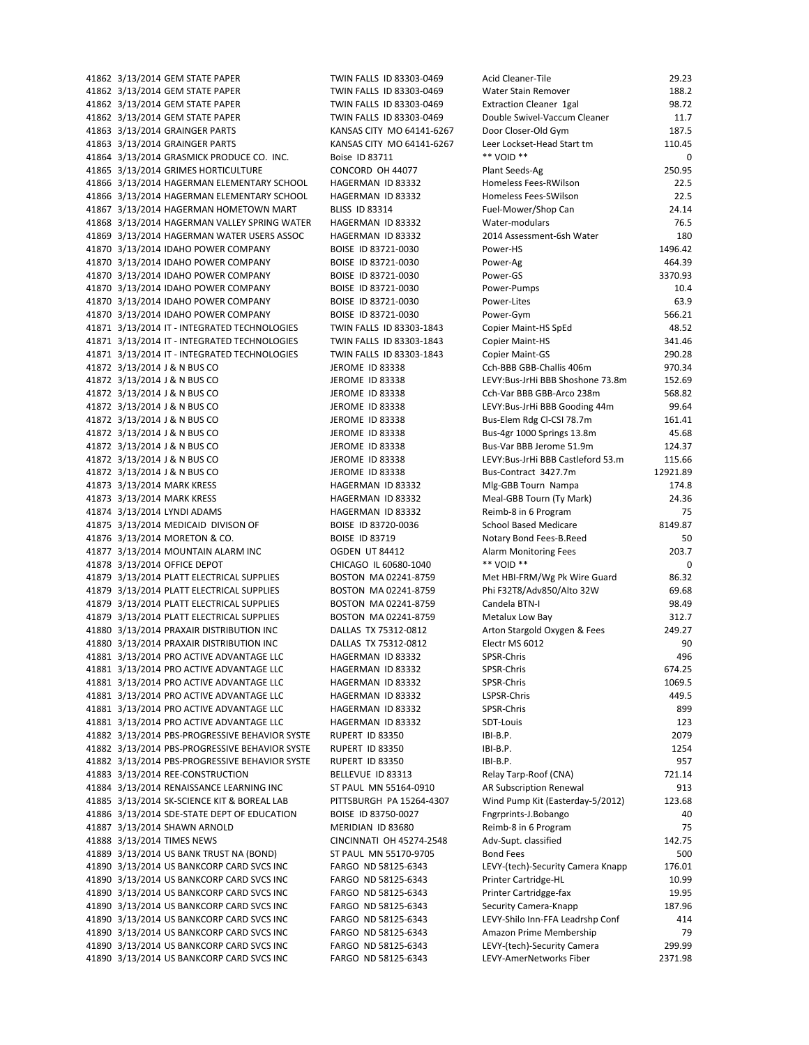$41862$   $3/13/2014$  GEM STATE PAPER TWIN FALLS ID 83303-0469 41862 3/13/2014 GEM STATE PAPER TWIN FALLS ID 83303-0469 W 41862 3/13/2014 GEM STATE PAPER TWIN FALLS ID 83303-0469 E 41862 3/13/2014 GEM STATE PAPER TWIN FALLS ID 83303-0469 D 41863 3/13/2014 GRAINGER PARTS KANSAS CITY MO 64141-6267 D 41863 3/13/2014 GRAINGER PARTS KANSAS CITY MO 64141-6267 Le 41864 3/13/2014 GRASMICK PRODUCE CO. INC. Boise ID 83711 41865 3/13/2014 GRIMES HORTICULTURE CONCORD OH 44077 P 41866 3/13/2014 HAGERMAN ELEMENTARY SCHOOL HAGERMAN ID 83332 H 41866 3/13/2014 HAGERMAN ELEMENTARY SCHOOL HAGERMAN ID 83332 H 41867 3/13/2014 HAGERMAN HOMETOWN MART BLISS ID 83314 FI 41868 3/13/2014 HAGERMAN VALLEY SPRING WATER HAGERMAN ID 83332 WATER 41869 3/13/2014 HAGERMAN WATER USERS ASSOC HAGERMAN ID 83332 2014 ASSESSMENT 41870 3/13/2014 IDAHO POWER COMPANY BOISE ID 83721-0030 POWER 41870 3/13/2014 IDAHO POWER COMPANY BOISE ID 83721-0030 P 41870 3/13/2014 IDAHO POWER COMPANY BOISE ID 83721-0030 P 41870 3/13/2014 IDAHO POWER COMPANY BOISE ID 83721-0030 P 41870 3/13/2014 IDAHO POWER COMPANY BOISE ID 83721-0030 POWER 41870 3/13/2014 IDAHO POWER COMPANY BOISE ID 83721-0030 P 41871 3/13/2014 IT - INTEGRATED TECHNOLOGIES TWIN FALLS ID 83303-1843 C 41871 3/13/2014 IT - INTEGRATED TECHNOLOGIES TWIN FALLS ID 83303-1843 C 41871 3/13/2014 IT - INTEGRATED TECHNOLOGIES TWIN FALLS ID 83303-1843 C 41872 3/13/2014 J & N BUS CO JEROME ID 83338 C 41872 3/13/2014 J & N BUS CO JEROME ID 83338 LI 41872 3/13/2014 J & N BUS CO JEROME ID 83338 C 41872 3/13/2014 J & N BUS CO JEROME ID 83338 LI 41872 3/13/2014 J & N BUS CO JEROME ID 83338 B 41872 3/13/2014 J & N BUS CO JEROME ID 83338 B 41872 3/13/2014 J & N BUS CO JEROME ID 83338 B 41872 3/13/2014 J & N BUS CO JEROME ID 83338 LI 41872 3/13/2014 J & N BUS CO JEROME ID 83338 B 41873 3/13/2014 MARK KRESS HAGERMAN ID 83332 M 41873 3/13/2014 MARK KRESS HAGERMAN ID 83332 M 41874 3/13/2014 LYNDI ADAMS HAGERMAN ID 83332 Reimar 19 Program 75 Program 75 Program 75 Program 75 Program 7 41875 3/13/2014 MEDICAID DIVISON OF BOISE ID 83720-0036 S 41876 3/13/2014 MORETON & CO. BOISE ID 83719 NOTARY BOISE ID 80719 41877 3/13/2014 MOUNTAIN ALARM INC OGDEN UT 84412 A 41878 3/13/2014 OFFICE DEPOT CHICAGO IL 60680-1040 \* 41879 3/13/2014 PLATT ELECTRICAL SUPPLIES BOSTON MA 02241-8759 M 41879 3/13/2014 PLATT ELECTRICAL SUPPLIES BOSTON MA 02241-8759 Phi 41879 3/13/2014 PLATT ELECTRICAL SUPPLIES BOSTON MA 02241-8759 C 41879 3/13/2014 PLATT ELECTRICAL SUPPLIES BOSTON MA 02241-8759 M 41880 3/13/2014 PRAXAIR DISTRIBUTION INC DALLAS TX 75312-0812 A 41880 3/13/2014 PRAXAIR DISTRIBUTION INC DALLAS TX 75312-0812 EI 41881 3/13/2014 PRO ACTIVE ADVANTAGE LLC HAGERMAN ID 83332 SI 41881 3/13/2014 PRO ACTIVE ADVANTAGE LLC HAGERMAN ID 83332 SI 41881 3/13/2014 PRO ACTIVE ADVANTAGE LLC HAGERMAN ID 83332 S 41881 3/13/2014 PRO ACTIVE ADVANTAGE LLC BAGERMAN ID 83332 LS 41881 3/13/2014 PRO ACTIVE ADVANTAGE LLC HAGERMAN ID 83332 SI 41881 3/13/2014 PRO ACTIVE ADVANTAGE LLC HAGERMAN ID 83332 S 41882 3/13/2014 PBS-PROGRESSIVE BEHAVIOR SYSTE RUPERT ID 83350 IB 41882 3/13/2014 PBS-PROGRESSIVE BEHAVIOR SYSTE RUPERT ID 83350 IB 41882 3/13/2014 PBS-PROGRESSIVE BEHAVIOR SYSTE RUPERT ID 83350 IB 41883 3/13/2014 REE‐CONSTRUCTION BELLEVUE ID 83313 Re 41884 3/13/2014 RENAISSANCE LEARNING INC ST PAUL MN 55164-0910 A 41885 3/13/2014 SK-SCIENCE KIT & BOREAL LAB PITTSBURGH PA 15264-4307 W 41886 3/13/2014 SDE-STATE DEPT OF EDUCATION BOISE ID 83750-0027 FI 41887 3/13/2014 SHAWN ARNOLD MERIDIAN ID 83680 R 41888 3/13/2014 TIMES NEWS CINCINNATI OH 45274-2548 A 41889 3/13/2014 US BANK TRUST NA (BOND) ST PAUL MN 55170-9705 B 41890 3/13/2014 US BANKCORP CARD SVCS INC FARGO ND 58125-6343 LI 41890 3/13/2014 US BANKCORP CARD SVCS INC FARGO ND 58125-6343 P 41890 3/13/2014 US BANKCORP CARD SVCS INC FARGO ND 58125-6343 P 41890 3/13/2014 US BANKCORP CARD SVCS INC FARGO ND 58125-6343 S 41890 3/13/2014 US BANKCORP CARD SVCS INC FARGO ND 58125-6343 LI 41890 3/13/2014 US BANKCORP CARD SVCS INC FARGO ND 58125-6343 Amazon Prime Membership A 41890 3/13/2014 US BANKCORP CARD SVCS INC FARGO ND 58125-6343 LI 41890 3/13/2014 US BANKCORP CARD SVCS INC FARGO ND 58125-6343 LI

| cid Cleaner-Tile                                     | 29.23             |
|------------------------------------------------------|-------------------|
| Vater Stain Remover                                  | 188.2             |
| xtraction Cleaner 1gal                               | 98.72             |
| ouble Swivel-Vaccum Cleaner                          | 11.7              |
| oor Closer-Old Gym                                   | 187.5             |
| eer Lockset-Head Start tm                            | 110.45            |
| * VOID **                                            | 0                 |
| lant Seeds-Ag                                        | 250.95            |
| omeless Fees-RWilson                                 | 22.5              |
| omeless Fees-SWilson                                 | 22.5              |
|                                                      | 24.14             |
| uel-Mower/Shop Can                                   |                   |
| /ater-modulars                                       | 76.5              |
| 014 Assessment-6sh Water                             | 180               |
| ower-HS                                              | 1496.42           |
| ower-Ag                                              | 464.39            |
| ower-GS                                              | 3370.93           |
| ower-Pumps                                           | 10.4              |
| ower-Lites                                           | 63.9              |
| ower-Gym                                             | 566.21            |
| opier Maint-HS SpEd                                  | 48.52             |
| opier Maint-HS                                       | 341.46            |
| opier Maint-GS                                       | 290.28            |
| ch-BBB GBB-Challis 406m                              | 970.34            |
| EVY:Bus-JrHi BBB Shoshone 73.8m                      | 152.69            |
| ch-Var BBB GBB-Arco 238m                             | 568.82            |
| EVY:Bus-JrHi BBB Gooding 44m                         | 99.64             |
| us-Elem Rdg Cl-CSI 78.7m                             | 161.41            |
|                                                      |                   |
| us-4gr 1000 Springs 13.8m                            | 45.68             |
| us-Var BBB Jerome 51.9m                              | 124.37            |
| EVY:Bus-JrHi BBB Castleford 53.m                     | 115.66            |
| us-Contract 3427.7m                                  | 12921.89          |
| 1lg-GBB Tourn Nampa                                  | 174.8             |
| leal-GBB Tourn (Ty Mark)                             | 24.36             |
| eimb-8 in 6 Program                                  | 75                |
| chool Based Medicare                                 | 8149.87           |
| otary Bond Fees-B.Reed                               | 50                |
| larm Monitoring Fees                                 | 203.7             |
| * VOID **                                            | 0                 |
| 1et HBI-FRM/Wg Pk Wire Guard                         | 86.32             |
| hi F32T8/Adv850/Alto 32W                             | 69.68             |
| andela BTN-I                                         | 98.49             |
| <b>Metalux Low Bay</b>                               | 312.7             |
| rton Stargold Oxygen & Fees                          | 249.27            |
| lectr MS 6012                                        | 90                |
| PSR-Chris                                            | 496               |
| PSR-Chris                                            |                   |
|                                                      |                   |
|                                                      | 674.25            |
| <b>PSR-Chris</b>                                     | 1069.5            |
| SPSR-Chris                                           | 449.5             |
| <b>PSR-Chris</b>                                     | 899               |
| DT-Louis                                             | 123               |
| 31-B.P.                                              | 2079              |
| $3I-B.P.$                                            | 1254              |
| 31-B.P.                                              | 957               |
| elay Tarp-Roof (CNA)                                 | 721.14            |
| R Subscription Renewal                               | 913               |
| /ind Pump Kit (Easterday-5/2012)                     | 123.68            |
|                                                      | 40                |
| ngrprints-J.Bobango                                  |                   |
| eimb-8 in 6 Program                                  | 75                |
| dv-Supt. classified                                  | 142.75            |
| ond Fees                                             | 500               |
| EVY-(tech)-Security Camera Knapp                     | 176.01            |
| rinter Cartridge-HL                                  | 10.99             |
| rinter Cartridgge-fax                                | 19.95             |
| ecurity Camera-Knapp                                 | 187.96            |
| EVY-Shilo Inn-FFA Leadrshp Conf                      | 414               |
| mazon Prime Membership                               | 79                |
| EVY-(tech)-Security Camera<br>EVY-AmerNetworks Fiber | 299.99<br>2371.98 |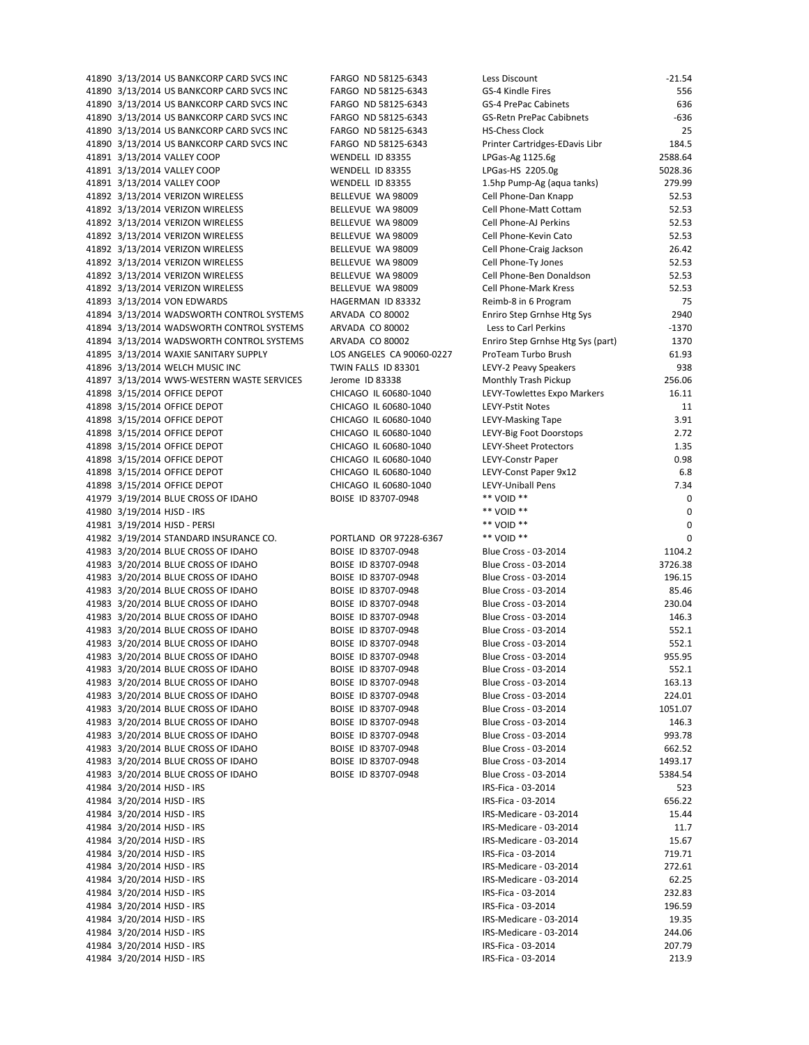$41890 \frac{3}{13}$  $313/2014$  US BANKCORP CARD SVCS INC FARGO ND 58125-6343 41890 3/13/2014 US BANKCORP CARD SVCS INC FARGO ND 58125-6343 GS 41890 3/13/2014 US BANKCORP CARD SVCS INC FARGO ND 58125-6343 GS 41890 3/13/2014 US BANKCORP CARD SVCS INC FARGO ND 58125-6343 GS 41890 3/13/2014 US BANKCORP CARD SVCS INC FARGO ND 58125-6343 HS 41890 3/13/2014 US BANKCORP CARD SVCS INC FARGO ND 58125-6343 Pr 41891 3/13/2014 VALLEY COOP WENDELL ID 83355 LP 41891 3/13/2014 VALLEY COOP WENDELL ID 83355 41891 3/13/2014 VALLEY COOP WENDELL ID 83355 1.5hp Pump 93.355 41892 3/13/2014 VERIZON WIRELESS BELLEVUE WA 98009 Ce 41892 3/13/2014 VERIZON WIRELESS BELLEVUE WA 98009 Ce 41892 3/13/2014 VERIZON WIRELESS BELLEVUE WA 98009 Ce 41892 3/13/2014 VERIZON WIRELESS BELLEVUE WA 98009 Ce 41892 3/13/2014 VERIZON WIRELESS BELLEVUE WA 98009 Ce 41892 3/13/2014 VERIZON WIRELESS BELLEVUE WA 98009 Ce 41892 3/13/2014 VERIZON WIRELESS BELLEVUE WA 98009 Ce 41892 3/13/2014 VERIZON WIRELESS BELLEVUE WA 98009 Ce 41893 3/13/2014 VON EDWARDS HAGERMAN ID 83332 Re 41894 3/13/2014 WADSWORTH CONTROL SYSTEMS ARVADA CO 80002 Fr 41894 3/13/2014 WADSWORTH CONTROL SYSTEMS ARVADA CO 80002 LESS TO CARL PERRIMS ARVADA CO 80002 41894 3/13/2014 WADSWORTH CONTROL SYSTEMS ARVADA CO 80002 Fr 41895 3/13/2014 WAXIE SANITARY SUPPLY LOS ANGELES CA 90060-0227 Pr 41896 3/13/2014 WELCH MUSIC INC TWIN FALLS ID 83301 41897 3/13/2014 WWS-WESTERN WASTE SERVICES Jerome ID 83338 41898 3/15/2014 OFFICE DEPOT CHICAGO IL 60680-1040 LE 41898 3/15/2014 OFFICE DEPOT CHICAGO IL 60680-1040 LE 41898 3/15/2014 OFFICE DEPOT CHICAGO IL 60680-1040 LE 41898 3/15/2014 OFFICE DEPOT CHICAGO IL 60680-1040 LE 41898 3/15/2014 OFFICE DEPOT CHICAGO IL 60680-1040 LE 41898 3/15/2014 OFFICE DEPOT CHICAGO IL 60680-1040 LE 41898 3/15/2014 OFFICE DEPOT CHICAGO IL 60680-1040 LE 41898 3/15/2014 OFFICE DEPOT CHICAGO IL 60680-1040 LE 41979 3/19/2014 BLUE CROSS OF IDAHO BOISE ID 83707-0948 \*\* 41980  $3/19/2014$  HJSD - IRS<br>41981  $3/19/2014$  HJSD · DEDSI 41981 3/19/2014 HJSD ‐ PERSI \*\* VOID \*\* 0 41982 3/19/2014 STANDARD INSURANCE CO. PORTLAND OR 97228-6367 41983 3/20/2014 BLUE CROSS OF IDAHO BOISE ID 83707-0948 BI 41983 3/20/2014 BLUE CROSS OF IDAHO BOISE ID 83707-0948 BI 41983 3/20/2014 BLUE CROSS OF IDAHO BOISE ID 83707-0948 BI 41983 3/20/2014 BLUE CROSS OF IDAHO BOISE ID 83707-0948 BI 41983 3/20/2014 BLUE CROSS OF IDAHO BOISE ID 83707-0948 BI 41983 3/20/2014 BLUE CROSS OF IDAHO BOISE ID 83707-0948 BI 41983 3/20/2014 BLUE CROSS OF IDAHO BOISE ID 83707-0948 BI 41983 3/20/2014 BLUE CROSS OF IDAHO BOISE ID 83707-0948 BI 41983 3/20/2014 BLUE CROSS OF IDAHO BOISE ID 83707-0948 BI 41983 3/20/2014 BLUE CROSS OF IDAHO BOISE ID 83707-0948 BI 41983 3/20/2014 BLUE CROSS OF IDAHO BOISE ID 83707-0948 BI 41983 3/20/2014 BLUE CROSS OF IDAHO BOISE ID 83707-0948 BI 41983 3/20/2014 BLUE CROSS OF IDAHO BOISE ID 83707-0948 BI 41983 3/20/2014 BLUE CROSS OF IDAHO BOISE ID 83707-0948 BI 41983 3/20/2014 BLUE CROSS OF IDAHO BOISE ID 83707-0948 BI 41983 3/20/2014 BLUE CROSS OF IDAHO BOISE ID 83707-0948 BI 41983 3/20/2014 BLUE CROSS OF IDAHO BOISE ID 83707-0948 BI 41983 3/20/2014 BLUE CROSS OF IDAHO BOISE ID 83707-0948 BI 41984 3/20/2014 HJSD - IRS IRS IRS 41984 3/20/2014 HJSD - IRS IRS ISLAMING ISLAMING ISLAMING ISLAMING ISLAMING ISLAMING I 41984 3/20/2014 HJSD - IRS IRS 41984 3/20/2014 HJSD - IRS IRS 41984 3/20/2014 HJSD - IRS IRS 41984 3/20/2014 HJSD - IRS IRS ISLAMING ISLAMING ISLAMING ISLAMING ISLAMING ISLAMING I 41984 3/20/2014 HJSD - IRS IRS ISLAME ISLAME ISLAME ISLAME ISLAME ISLAME ISLAME ISL 41984 3/20/2014 HJSD - IRS IRS ISLAME ISLAME ISLAME ISLAME ISLAME ISLAME ISLAME ISL 41984 3/20/2014 HJSD - IRS IRS 41984 3/20/2014 HJSD - IRS IRS 41984 3/20/2014 HJSD - IRS IRS 41984 3/20/2014 HJSD - IRS IRS ISLAME ISLAME ISLAME ISLAME IRS 41984 3/20/2014 HJSD - IRS IRS 41984 3/20/2014 HJSD - IRS IRS

| ess Discount                     | $-21.54$ |
|----------------------------------|----------|
| S-4 Kindle Fires                 | 556      |
| S-4 PrePac Cabinets              | 636      |
| S-Retn PrePac Cabibnets          | $-636$   |
| S-Chess Clock                    | 25       |
| inter Cartridges-EDavis Libr     | 184.5    |
| <sup>2</sup> Gas-Ag 1125.6g      | 2588.64  |
| <sup>2</sup> Gas-HS 2205.0g      | 5028.36  |
| 5hp Pump-Ag (aqua tanks)         | 279.99   |
| ell Phone-Dan Knapp              | 52.53    |
| ell Phone-Matt Cottam            | 52.53    |
| ell Phone-AJ Perkins             | 52.53    |
| ell Phone-Kevin Cato             | 52.53    |
| ell Phone-Craig Jackson          | 26.42    |
| ell Phone-Ty Jones               | 52.53    |
| ell Phone-Ben Donaldson          | 52.53    |
| ell Phone-Mark Kress             | 52.53    |
| eimb-8 in 6 Program              | 75       |
| nriro Step Grnhse Htg Sys        | 2940     |
| ess to Carl Perkins.             | $-1370$  |
| nriro Step Grnhse Htg Sys (part) | 1370     |
| oTeam Turbo Brush                | 61.93    |
| <b>EVY-2 Peavy Speakers</b>      | 938      |
| Ionthly Trash Pickup             | 256.06   |
| <b>VY-Towlettes Expo Markers</b> | 16.11    |
| VY-Pstit Notes                   | 11       |
| <b>VY-Masking Tape</b>           | 3.91     |
| <b>VY-Big Foot Doorstops</b>     | 2.72     |
| <b>EVY-Sheet Protectors</b>      | 1.35     |
| <b>VY-Constr Paper</b>           | 0.98     |
| VY-Const Paper 9x12              | 6.8      |
| VY-Uniball Pens                  | 7.34     |
| * VOID **<br>* VOID **           | 0        |
| * VOID **                        | 0        |
| * VOID **                        | 0<br>0   |
| ue Cross - 03-2014               | 1104.2   |
| ue Cross - 03-2014               | 3726.38  |
| ue Cross - 03-2014               | 196.15   |
| ue Cross - 03-2014               | 85.46    |
| ue Cross - 03-2014               | 230.04   |
| ue Cross - 03-2014               | 146.3    |
| ue Cross - 03-2014               | 552.1    |
| ue Cross - 03-2014               | 552.1    |
| ue Cross - 03-2014               | 955.95   |
| ue Cross - 03-2014               | 552.1    |
| ue Cross - 03-2014               | 163.13   |
| ue Cross - 03-2014               | 224.01   |
| ue Cross - 03-2014               | 1051.07  |
| ue Cross - 03-2014               | 146.3    |
| ue Cross - 03-2014               | 993.78   |
| ue Cross - 03-2014               | 662.52   |
| ue Cross - 03-2014               | 1493.17  |
| ue Cross - 03-2014               | 5384.54  |
| S-Fica - 03-2014                 | 523      |
| S-Fica - 03-2014                 | 656.22   |
| S-Medicare - 03-2014             | 15.44    |
| S-Medicare - 03-2014             | 11.7     |
| S-Medicare - 03-2014             | 15.67    |
| S-Fica - 03-2014                 | 719.71   |
| S-Medicare - 03-2014             | 272.61   |
| S-Medicare - 03-2014             | 62.25    |
| S-Fica - 03-2014                 | 232.83   |
| S-Fica - 03-2014                 | 196.59   |
| S-Medicare - 03-2014             | 19.35    |
| S-Medicare - 03-2014             | 244.06   |
| S-Fica - 03-2014                 | 207.79   |
| S-Fica - 03-2014                 | 213.9    |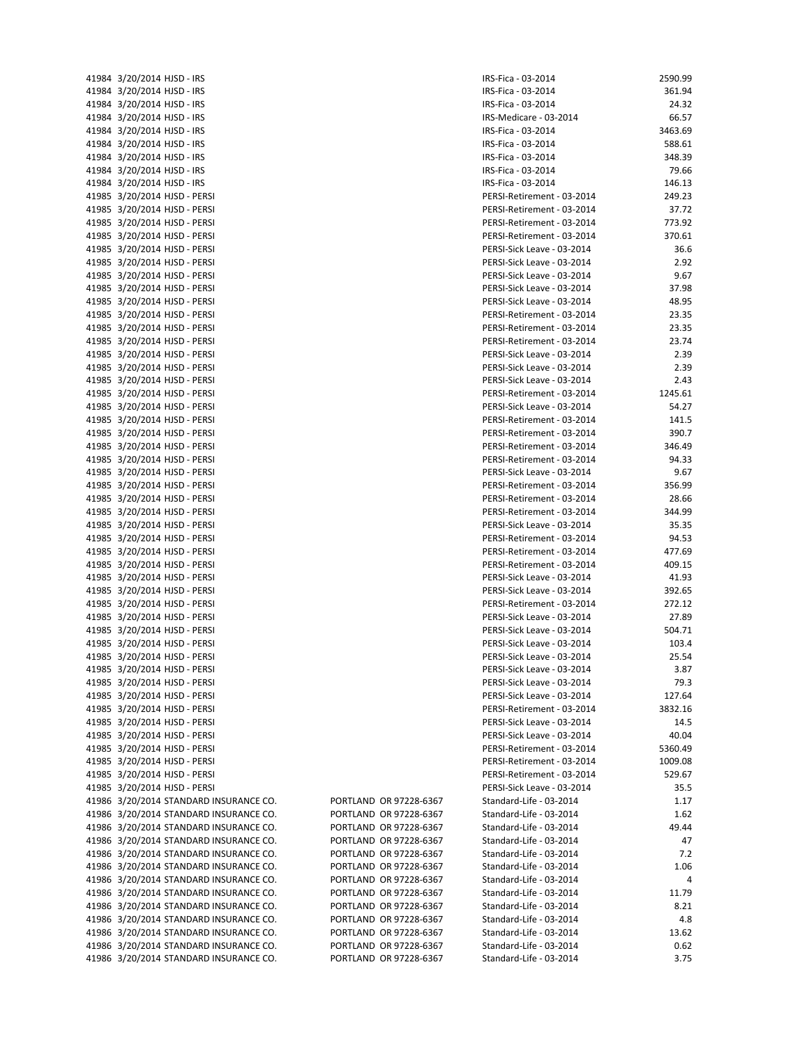|       | 41984 3/20/2014 HJSD - IRS         |
|-------|------------------------------------|
|       | 41984 3/20/2014 HJSD - IRS         |
|       | 41984 3/20/2014 HJSD - IRS         |
|       | 41984 3/20/2014 HJSD - IRS         |
|       | 41984 3/20/2014 HJSD - IRS         |
| 41984 | 3/20/2014 HJSD - IRS               |
| 41984 | 3/20/2014 HJSD - IRS               |
|       | 41984 3/20/2014 HJSD - IRS         |
| 41984 | 3/20/2014 HJSD - IRS               |
| 41985 | 3/20/2014 HJSD - PERSI             |
|       |                                    |
|       | 41985 3/20/2014 HJSD - PERSI       |
| 41985 | 3/20/2014 HJSD - PERSI             |
|       | 41985 3/20/2014 HJSD - PERSI       |
|       | 41985 3/20/2014 HJSD - PERSI       |
| 41985 | 3/20/2014 HJSD - PERSI             |
|       | 41985 3/20/2014 HJSD - PERSI       |
|       | 41985 3/20/2014 HJSD - PERSI       |
| 41985 | 3/20/2014 HJSD - PERSI             |
|       | 41985 3/20/2014 HJSD - PERSI       |
|       | 41985 3/20/2014 HJSD - PERSI       |
|       | 41985 3/20/2014 HJSD - PERSI       |
|       | 41985 3/20/2014 HJSD - PERSI       |
|       |                                    |
|       | 41985 3/20/2014 HJSD - PERSI       |
|       | 41985 3/20/2014 HJSD - PERSI       |
|       | 41985 3/20/2014 HJSD - PERSI       |
|       | 41985 3/20/2014 HJSD - PERSI       |
|       | 41985 3/20/2014 HJSD - PERSI       |
|       | 41985 3/20/2014 HJSD - PERSI       |
|       | 41985 3/20/2014 HJSD - PERSI       |
|       | 41985 3/20/2014 HJSD - PERSI       |
|       | 41985 3/20/2014 HJSD - PERSI       |
|       | 41985 3/20/2014 HJSD - PERSI       |
|       | 41985 3/20/2014 HJSD - PERSI       |
|       | 41985 3/20/2014 HJSD - PERSI       |
| 41985 | 3/20/2014 HJSD - PERSI             |
|       |                                    |
|       | 41985 3/20/2014 HJSD - PERSI       |
|       | 41985 3/20/2014 HJSD - PERSI       |
| 41985 | 3/20/2014 HJSD - PERSI             |
|       | 41985 3/20/2014 HJSD - PERSI       |
|       | 41985 3/20/2014 HJSD - PERSI       |
| 41985 | 3/20/2014 HJSD - PERSI             |
|       | 41985 3/20/2014 HJSD - PERSI       |
|       | 41985 3/20/2014 HJSD - PERSI       |
|       | 41985 3/20/2014 HJSD - PERSI       |
|       | 41985 3/20/2014 HJSD - PERSI       |
| 41985 | 3/20/2014 HJSD - PERSI             |
| 41985 | 3/20/2014 HJSD - PERSI             |
| 41985 | 3/20/2014 HJSD - PERSI             |
| 41985 | 3/20/2014 HJSD - PERSI             |
|       |                                    |
| 41985 | 3/20/2014 HJSD - PERSI             |
| 41985 | 3/20/2014 HJSD - PERSI             |
| 41985 | 3/20/2014 HJSD - PERSI             |
| 41985 | 3/20/2014 HJSD - PERSI             |
| 41985 | 3/20/2014 HJSD - PERSI             |
| 41985 | 3/20/2014 HJSD - PERSI             |
| 41986 | 3/20/2014 STANDARD INSURANCI       |
| 41986 | 3/20/2014 STANDARD INSURANCI       |
| 41986 | 3/20/2014 STANDARD INSURANCI       |
| 41986 | 3/20/2014 STANDARD INSURANCI       |
| 41986 | 3/20/2014 STANDARD INSURANCI       |
| 41986 | 3/20/2014 STANDARD INSURANCI       |
|       |                                    |
| 41986 | 3/20/2014 STANDARD INSURANCI       |
| 41986 | 3/20/2014 STANDARD INSURANCI       |
| 41986 | 3/20/2014 STANDARD INSURANCI       |
| 41986 | 3/20/2014 STANDARD INSURANCI       |
| 41986 | 3/20/2014 STANDARD INSURANCI       |
|       | 41986 3/20/2014 STANDARD INSURANCI |
| 41986 | 3/20/2014 STANDARD INSURANCI       |

|  | PORTLAND OR 97228-6367 |
|--|------------------------|
|  | PORTLAND OR 97228-6367 |
|  | PORTLAND OR 97228-6367 |
|  | PORTLAND OR 97228-6367 |
|  | PORTLAND OR 97228-6367 |
|  | PORTLAND OR 97228-6367 |
|  | PORTLAND OR 97228-6367 |
|  | PORTLAND OR 97228-6367 |
|  | PORTLAND OR 97228-6367 |
|  | PORTLAND OR 97228-6367 |
|  | PORTLAND OR 97228-6367 |
|  | PORTLAND OR 97228-6367 |
|  | PORTLAND OR 97228-6367 |

| 41984 3/20/2014 HJSD - IRS             |                        | IRS-Fica - 03-2014         | 2590.99 |
|----------------------------------------|------------------------|----------------------------|---------|
| 41984 3/20/2014 HJSD - IRS             |                        | IRS-Fica - 03-2014         | 361.94  |
| 41984 3/20/2014 HJSD - IRS             |                        | IRS-Fica - 03-2014         | 24.32   |
| 41984 3/20/2014 HJSD - IRS             |                        | IRS-Medicare - 03-2014     | 66.57   |
| 41984 3/20/2014 HJSD - IRS             |                        | IRS-Fica - 03-2014         | 3463.69 |
| 41984 3/20/2014 HJSD - IRS             |                        | IRS-Fica - 03-2014         | 588.61  |
|                                        |                        |                            | 348.39  |
| 41984 3/20/2014 HJSD - IRS             |                        | IRS-Fica - 03-2014         |         |
| 41984 3/20/2014 HJSD - IRS             |                        | IRS-Fica - 03-2014         | 79.66   |
| 41984 3/20/2014 HJSD - IRS             |                        | IRS-Fica - 03-2014         | 146.13  |
| 41985 3/20/2014 HJSD - PERSI           |                        | PERSI-Retirement - 03-2014 | 249.23  |
| 41985 3/20/2014 HJSD - PERSI           |                        | PERSI-Retirement - 03-2014 | 37.72   |
| 41985 3/20/2014 HJSD - PERSI           |                        | PERSI-Retirement - 03-2014 | 773.92  |
| 41985 3/20/2014 HJSD - PERSI           |                        | PERSI-Retirement - 03-2014 | 370.61  |
| 41985 3/20/2014 HJSD - PERSI           |                        | PERSI-Sick Leave - 03-2014 | 36.6    |
| 41985 3/20/2014 HJSD - PERSI           |                        | PERSI-Sick Leave - 03-2014 | 2.92    |
| 41985 3/20/2014 HJSD - PERSI           |                        | PERSI-Sick Leave - 03-2014 | 9.67    |
|                                        |                        |                            |         |
| 41985 3/20/2014 HJSD - PERSI           |                        | PERSI-Sick Leave - 03-2014 | 37.98   |
| 41985 3/20/2014 HJSD - PERSI           |                        | PERSI-Sick Leave - 03-2014 | 48.95   |
| 41985 3/20/2014 HJSD - PERSI           |                        | PERSI-Retirement - 03-2014 | 23.35   |
| 41985 3/20/2014 HJSD - PERSI           |                        | PERSI-Retirement - 03-2014 | 23.35   |
| 41985 3/20/2014 HJSD - PERSI           |                        | PERSI-Retirement - 03-2014 | 23.74   |
| 41985 3/20/2014 HJSD - PERSI           |                        | PERSI-Sick Leave - 03-2014 | 2.39    |
| 41985 3/20/2014 HJSD - PERSI           |                        | PERSI-Sick Leave - 03-2014 | 2.39    |
| 41985 3/20/2014 HJSD - PERSI           |                        | PERSI-Sick Leave - 03-2014 | 2.43    |
| 41985 3/20/2014 HJSD - PERSI           |                        | PERSI-Retirement - 03-2014 | 1245.61 |
| 41985 3/20/2014 HJSD - PERSI           |                        | PERSI-Sick Leave - 03-2014 | 54.27   |
| 41985 3/20/2014 HJSD - PERSI           |                        | PERSI-Retirement - 03-2014 |         |
|                                        |                        |                            | 141.5   |
| 41985 3/20/2014 HJSD - PERSI           |                        | PERSI-Retirement - 03-2014 | 390.7   |
| 41985 3/20/2014 HJSD - PERSI           |                        | PERSI-Retirement - 03-2014 | 346.49  |
| 41985 3/20/2014 HJSD - PERSI           |                        | PERSI-Retirement - 03-2014 | 94.33   |
| 41985 3/20/2014 HJSD - PERSI           |                        | PERSI-Sick Leave - 03-2014 | 9.67    |
| 41985 3/20/2014 HJSD - PERSI           |                        | PERSI-Retirement - 03-2014 | 356.99  |
| 41985 3/20/2014 HJSD - PERSI           |                        | PERSI-Retirement - 03-2014 | 28.66   |
| 41985 3/20/2014 HJSD - PERSI           |                        | PERSI-Retirement - 03-2014 | 344.99  |
| 41985 3/20/2014 HJSD - PERSI           |                        | PERSI-Sick Leave - 03-2014 | 35.35   |
| 41985 3/20/2014 HJSD - PERSI           |                        | PERSI-Retirement - 03-2014 | 94.53   |
|                                        |                        |                            |         |
| 41985 3/20/2014 HJSD - PERSI           |                        | PERSI-Retirement - 03-2014 | 477.69  |
| 41985 3/20/2014 HJSD - PERSI           |                        | PERSI-Retirement - 03-2014 | 409.15  |
| 41985 3/20/2014 HJSD - PERSI           |                        | PERSI-Sick Leave - 03-2014 | 41.93   |
| 41985 3/20/2014 HJSD - PERSI           |                        | PERSI-Sick Leave - 03-2014 | 392.65  |
| 41985 3/20/2014 HJSD - PERSI           |                        | PERSI-Retirement - 03-2014 | 272.12  |
| 41985 3/20/2014 HJSD - PERSI           |                        | PERSI-Sick Leave - 03-2014 | 27.89   |
| 41985 3/20/2014 HJSD - PERSI           |                        | PERSI-Sick Leave - 03-2014 | 504.71  |
| 41985 3/20/2014 HJSD - PERSI           |                        | PERSI-Sick Leave - 03-2014 | 103.4   |
| 41985 3/20/2014 HJSD - PERSI           |                        | PERSI-Sick Leave - 03-2014 | 25.54   |
| 41985 3/20/2014 HJSD - PERSI           |                        | PERSI-Sick Leave - 03-2014 | 3.87    |
| 41985 3/20/2014 HJSD - PERSI           |                        | PERSI-Sick Leave - 03-2014 | 79.3    |
|                                        |                        |                            |         |
| 41985 3/20/2014 HJSD - PERSI           |                        | PERSI-Sick Leave - 03-2014 | 127.64  |
| 41985 3/20/2014 HJSD - PERSI           |                        | PERSI-Retirement - 03-2014 | 3832.16 |
| 41985 3/20/2014 HJSD - PERSI           |                        | PERSI-Sick Leave - 03-2014 | 14.5    |
| 41985 3/20/2014 HJSD - PERSI           |                        | PERSI-Sick Leave - 03-2014 | 40.04   |
| 41985 3/20/2014 HJSD - PERSI           |                        | PERSI-Retirement - 03-2014 | 5360.49 |
| 41985 3/20/2014 HJSD - PERSI           |                        | PERSI-Retirement - 03-2014 | 1009.08 |
| 41985 3/20/2014 HJSD - PERSI           |                        | PERSI-Retirement - 03-2014 | 529.67  |
| 41985 3/20/2014 HJSD - PERSI           |                        | PERSI-Sick Leave - 03-2014 | 35.5    |
| 41986 3/20/2014 STANDARD INSURANCE CO. | PORTLAND OR 97228-6367 | Standard-Life - 03-2014    | 1.17    |
| 41986 3/20/2014 STANDARD INSURANCE CO. | PORTLAND OR 97228-6367 | Standard-Life - 03-2014    | 1.62    |
|                                        |                        |                            | 49.44   |
| 41986 3/20/2014 STANDARD INSURANCE CO. | PORTLAND OR 97228-6367 | Standard-Life - 03-2014    |         |
| 41986 3/20/2014 STANDARD INSURANCE CO. | PORTLAND OR 97228-6367 | Standard-Life - 03-2014    | 47      |
| 41986 3/20/2014 STANDARD INSURANCE CO. | PORTLAND OR 97228-6367 | Standard-Life - 03-2014    | 7.2     |
| 41986 3/20/2014 STANDARD INSURANCE CO. | PORTLAND OR 97228-6367 | Standard-Life - 03-2014    | 1.06    |
| 41986 3/20/2014 STANDARD INSURANCE CO. | PORTLAND OR 97228-6367 | Standard-Life - 03-2014    | 4       |
| 41986 3/20/2014 STANDARD INSURANCE CO. | PORTLAND OR 97228-6367 | Standard-Life - 03-2014    | 11.79   |
| 41986 3/20/2014 STANDARD INSURANCE CO. | PORTLAND OR 97228-6367 | Standard-Life - 03-2014    | 8.21    |
| 41986 3/20/2014 STANDARD INSURANCE CO. | PORTLAND OR 97228-6367 | Standard-Life - 03-2014    | 4.8     |
| 41986 3/20/2014 STANDARD INSURANCE CO. | PORTLAND OR 97228-6367 | Standard-Life - 03-2014    | 13.62   |
| 41986 3/20/2014 STANDARD INSURANCE CO. | PORTLAND OR 97228-6367 | Standard-Life - 03-2014    | 0.62    |
| 41986 3/20/2014 STANDARD INSURANCE CO. | PORTLAND OR 97228-6367 | Standard-Life - 03-2014    | 3.75    |
|                                        |                        |                            |         |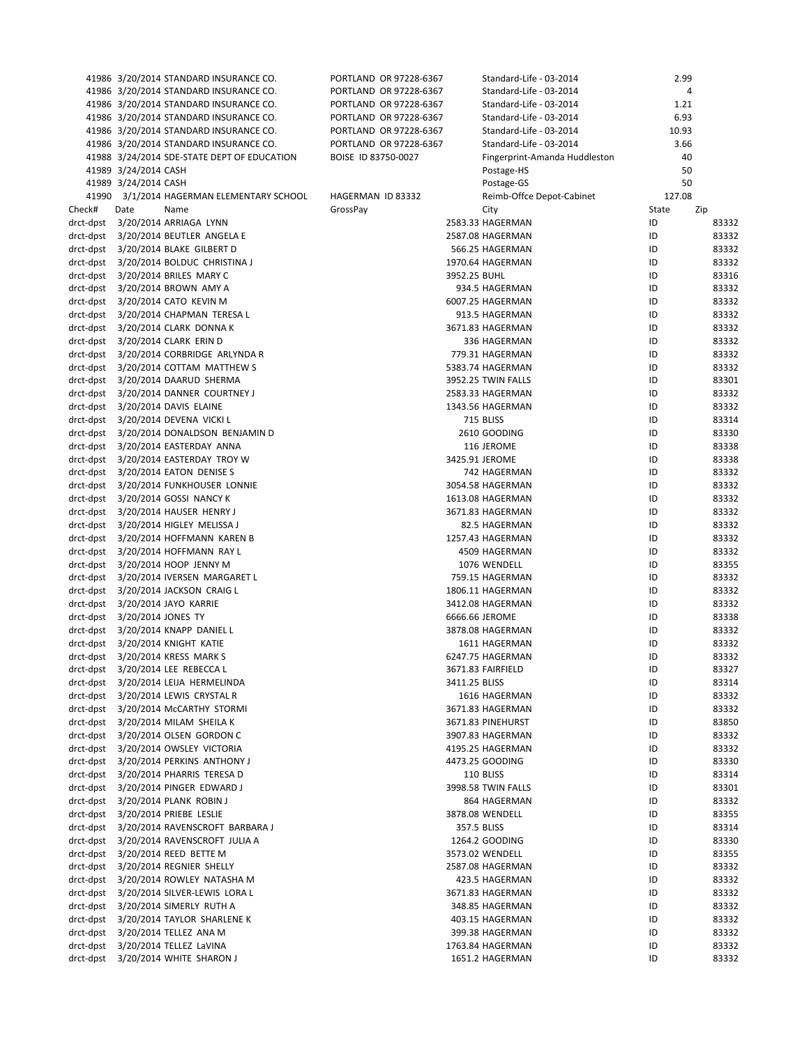|                        |                      | 41986 3/20/2014 STANDARD INSURANCE CO.                                    | PORTLAND OR 97228-6367 |               | Standard-Life - 03-2014             | 2.99     |                |
|------------------------|----------------------|---------------------------------------------------------------------------|------------------------|---------------|-------------------------------------|----------|----------------|
|                        |                      | 41986 3/20/2014 STANDARD INSURANCE CO.                                    | PORTLAND OR 97228-6367 |               | Standard-Life - 03-2014             |          | 4              |
|                        |                      | 41986 3/20/2014 STANDARD INSURANCE CO.                                    | PORTLAND OR 97228-6367 |               | Standard-Life - 03-2014             | 1.21     |                |
|                        |                      | 41986 3/20/2014 STANDARD INSURANCE CO.                                    | PORTLAND OR 97228-6367 |               | Standard-Life - 03-2014             | 6.93     |                |
|                        |                      | 41986 3/20/2014 STANDARD INSURANCE CO.                                    | PORTLAND OR 97228-6367 |               | Standard-Life - 03-2014             | 10.93    |                |
|                        |                      | 41986 3/20/2014 STANDARD INSURANCE CO.                                    | PORTLAND OR 97228-6367 |               | Standard-Life - 03-2014             | 3.66     |                |
|                        |                      | 41988 3/24/2014 SDE-STATE DEPT OF EDUCATION                               | BOISE ID 83750-0027    |               | Fingerprint-Amanda Huddleston       | 40       |                |
|                        | 41989 3/24/2014 CASH |                                                                           |                        |               | Postage-HS                          | 50       |                |
|                        | 41989 3/24/2014 CASH |                                                                           |                        |               | Postage-GS                          | 50       |                |
|                        |                      | 41990 3/1/2014 HAGERMAN ELEMENTARY SCHOOL                                 | HAGERMAN ID 83332      |               | Reimb-Offce Depot-Cabinet           | 127.08   |                |
| Check#                 | Date                 | Name                                                                      | GrossPay               |               | City                                | State    | Zip            |
|                        |                      | drct-dpst 3/20/2014 ARRIAGA LYNN                                          |                        |               | 2583.33 HAGERMAN                    | ID       | 83332          |
|                        |                      | drct-dpst 3/20/2014 BEUTLER ANGELA E                                      |                        |               | 2587.08 HAGERMAN                    | ID       | 83332          |
|                        |                      | drct-dpst 3/20/2014 BLAKE GILBERT D                                       |                        |               | 566.25 HAGERMAN                     | ID       | 83332          |
| drct-dpst              |                      | 3/20/2014 BOLDUC CHRISTINA J                                              |                        | 3952.25 BUHL  | 1970.64 HAGERMAN                    | ID<br>ID | 83332<br>83316 |
|                        |                      | drct-dpst 3/20/2014 BRILES MARY C                                         |                        |               | 934.5 HAGERMAN                      | ID       | 83332          |
| drct-dpst<br>drct-dpst |                      | 3/20/2014 BROWN AMY A                                                     |                        |               | 6007.25 HAGERMAN                    | ID       | 83332          |
|                        |                      | 3/20/2014 CATO KEVIN M                                                    |                        |               |                                     |          |                |
|                        |                      | drct-dpst 3/20/2014 CHAPMAN TERESA L<br>drct-dpst 3/20/2014 CLARK DONNA K |                        |               | 913.5 HAGERMAN                      | ID<br>ID | 83332          |
|                        |                      |                                                                           |                        |               | 3671.83 HAGERMAN                    | ID       | 83332          |
| drct-dpst              |                      | 3/20/2014 CLARK ERIN D<br>drct-dpst 3/20/2014 CORBRIDGE ARLYNDA R         |                        |               | 336 HAGERMAN<br>779.31 HAGERMAN     |          | 83332          |
|                        |                      | drct-dpst 3/20/2014 COTTAM MATTHEW S                                      |                        |               |                                     | ID<br>ID | 83332          |
|                        |                      |                                                                           |                        |               | 5383.74 HAGERMAN                    |          | 83332          |
| drct-dpst<br>drct-dpst |                      | 3/20/2014 DAARUD SHERMA<br>3/20/2014 DANNER COURTNEY J                    |                        |               | 3952.25 TWIN FALLS                  | ID       | 83301          |
|                        |                      |                                                                           |                        |               | 2583.33 HAGERMAN                    | ID       | 83332          |
| drct-dpst              |                      | 3/20/2014 DAVIS ELAINE                                                    |                        |               | 1343.56 HAGERMAN                    | ID       | 83332          |
| drct-dpst              |                      | 3/20/2014 DEVENA VICKI L                                                  |                        |               | 715 BLISS                           | ID       | 83314          |
| drct-dpst              |                      | 3/20/2014 DONALDSON BENJAMIN D                                            |                        |               | 2610 GOODING                        | ID       | 83330          |
| drct-dpst              |                      | 3/20/2014 EASTERDAY ANNA                                                  |                        |               | 116 JEROME                          | ID       | 83338          |
| drct-dpst              |                      | 3/20/2014 EASTERDAY TROY W                                                |                        |               | 3425.91 JEROME                      | ID       | 83338          |
| drct-dpst              |                      | 3/20/2014 EATON DENISE S                                                  |                        |               | 742 HAGERMAN                        | ID       | 83332          |
| drct-dpst              |                      | 3/20/2014 FUNKHOUSER LONNIE                                               |                        |               | 3054.58 HAGERMAN                    | ID       | 83332          |
| drct-dpst              |                      | 3/20/2014 GOSSI NANCY K                                                   |                        |               | 1613.08 HAGERMAN                    | ID       | 83332          |
| drct-dpst              |                      | 3/20/2014 HAUSER HENRY J                                                  |                        |               | 3671.83 HAGERMAN                    | ID<br>ID | 83332          |
| drct-dpst<br>drct-dpst |                      | 3/20/2014 HIGLEY MELISSA J                                                |                        |               | 82.5 HAGERMAN<br>1257.43 HAGERMAN   | ID       | 83332<br>83332 |
|                        |                      | 3/20/2014 HOFFMANN KAREN B                                                |                        |               |                                     |          |                |
| drct-dpst              |                      | 3/20/2014 HOFFMANN RAY L                                                  |                        |               | 4509 HAGERMAN<br>1076 WENDELL       | ID<br>ID | 83332<br>83355 |
| drct-dpst<br>drct-dpst |                      | 3/20/2014 HOOP JENNY M<br>3/20/2014 IVERSEN MARGARET L                    |                        |               |                                     | ID       | 83332          |
| drct-dpst              |                      | 3/20/2014 JACKSON CRAIG L                                                 |                        |               | 759.15 HAGERMAN<br>1806.11 HAGERMAN | ID       | 83332          |
| drct-dpst              |                      | 3/20/2014 JAYO KARRIE                                                     |                        |               | 3412.08 HAGERMAN                    | ID       | 83332          |
| drct-dpst              | 3/20/2014 JONES TY   |                                                                           |                        |               | 6666.66 JEROME                      | ID       | 83338          |
| drct-dpst              |                      | 3/20/2014 KNAPP DANIEL L                                                  |                        |               | 3878.08 HAGERMAN                    | ID       | 83332          |
|                        |                      | drct-dpst 3/20/2014 KNIGHT KATIE                                          |                        |               | 1611 HAGERMAN                       | ID       | 83332          |
|                        |                      | drct-dpst 3/20/2014 KRESS MARK S                                          |                        |               | 6247.75 HAGERMAN                    | ID       | 83332          |
| drct-dpst              |                      | 3/20/2014 LEE REBECCA L                                                   |                        |               | 3671.83 FAIRFIELD                   | ID       | 83327          |
| drct-dpst              |                      | 3/20/2014 LEIJA HERMELINDA                                                |                        | 3411.25 BLISS |                                     | ID       | 83314          |
| drct-dpst              |                      | 3/20/2014 LEWIS CRYSTAL R                                                 |                        |               | 1616 HAGERMAN                       | ID       | 83332          |
| drct-dpst              |                      | 3/20/2014 McCARTHY STORMI                                                 |                        |               | 3671.83 HAGERMAN                    | ID       | 83332          |
| drct-dpst              |                      | 3/20/2014 MILAM SHEILA K                                                  |                        |               | 3671.83 PINEHURST                   | ID       | 83850          |
|                        |                      | drct-dpst 3/20/2014 OLSEN GORDON C                                        |                        |               | 3907.83 HAGERMAN                    | ID       | 83332          |
| drct-dpst              |                      | 3/20/2014 OWSLEY VICTORIA                                                 |                        |               | 4195.25 HAGERMAN                    | ID       | 83332          |
| drct-dpst              |                      | 3/20/2014 PERKINS ANTHONY J                                               |                        |               | 4473.25 GOODING                     | ID       | 83330          |
| drct-dpst              |                      | 3/20/2014 PHARRIS TERESA D                                                |                        |               | 110 BLISS                           | ID       | 83314          |
| drct-dpst              |                      | 3/20/2014 PINGER EDWARD J                                                 |                        |               | 3998.58 TWIN FALLS                  | ID       | 83301          |
| drct-dpst              |                      | 3/20/2014 PLANK ROBIN J                                                   |                        |               | 864 HAGERMAN                        | ID       | 83332          |
| drct-dpst              |                      | 3/20/2014 PRIEBE LESLIE                                                   |                        |               | 3878.08 WENDELL                     | ID       | 83355          |
| drct-dpst              |                      | 3/20/2014 RAVENSCROFT BARBARA J                                           |                        |               | 357.5 BLISS                         | ID       | 83314          |
| drct-dpst              |                      | 3/20/2014 RAVENSCROFT JULIA A                                             |                        |               | 1264.2 GOODING                      | ID       | 83330          |
| drct-dpst              |                      | 3/20/2014 REED BETTE M                                                    |                        |               | 3573.02 WENDELL                     | ID       | 83355          |
| drct-dpst              |                      | 3/20/2014 REGNIER SHELLY                                                  |                        |               | 2587.08 HAGERMAN                    | ID       | 83332          |
| drct-dpst              |                      | 3/20/2014 ROWLEY NATASHA M                                                |                        |               | 423.5 HAGERMAN                      | ID       | 83332          |
| drct-dpst              |                      | 3/20/2014 SILVER-LEWIS LORA L                                             |                        |               | 3671.83 HAGERMAN                    | ID       | 83332          |
| drct-dpst              |                      | 3/20/2014 SIMERLY RUTH A                                                  |                        |               | 348.85 HAGERMAN                     | ID       | 83332          |
| drct-dpst              |                      | 3/20/2014 TAYLOR SHARLENE K                                               |                        |               | 403.15 HAGERMAN                     | ID       | 83332          |
| drct-dpst              |                      | 3/20/2014 TELLEZ ANA M                                                    |                        |               | 399.38 HAGERMAN                     | ID       | 83332          |
| drct-dpst              |                      | 3/20/2014 TELLEZ LaVINA                                                   |                        |               | 1763.84 HAGERMAN                    | ID       | 83332          |
| drct-dpst              |                      | 3/20/2014 WHITE SHARON J                                                  |                        |               | 1651.2 HAGERMAN                     | ID       | 83332          |
|                        |                      |                                                                           |                        |               |                                     |          |                |